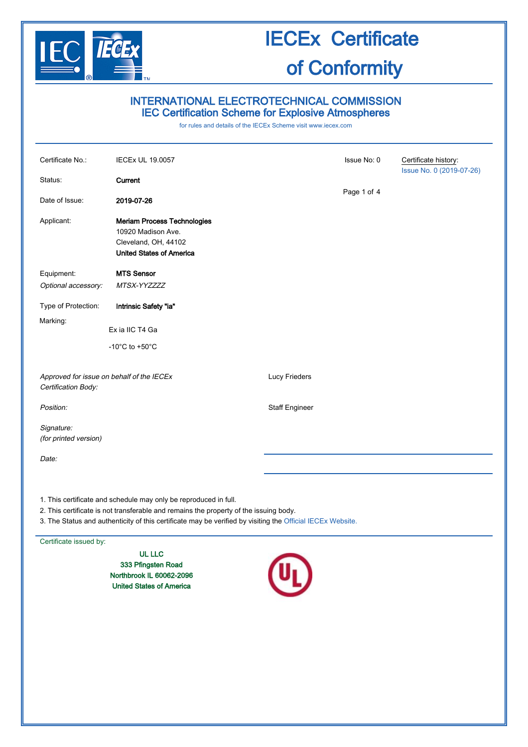

### INTERNATIONAL ELECTROTECHNICAL COMMISSION IEC Certification Scheme for Explosive Atmospheres

for rules and details of the IECEx Scheme visit [www.iecex.com](http://www.iecex.com/)

| Certificate No.:                                                                                           | <b>IECEx UL 19.0057</b>                                                                                             |                       | Issue No: 0 | Certificate history:<br>Issue No. 0 (2019-07-26) |  |
|------------------------------------------------------------------------------------------------------------|---------------------------------------------------------------------------------------------------------------------|-----------------------|-------------|--------------------------------------------------|--|
| Status:                                                                                                    | Current                                                                                                             |                       |             |                                                  |  |
| Date of Issue:                                                                                             | 2019-07-26                                                                                                          |                       | Page 1 of 4 |                                                  |  |
| Applicant:                                                                                                 | <b>Meriam Process Technologies</b><br>10920 Madison Ave.<br>Cleveland, OH, 44102<br><b>United States of America</b> |                       |             |                                                  |  |
| Equipment:                                                                                                 | <b>MTS Sensor</b>                                                                                                   |                       |             |                                                  |  |
| Optional accessory:                                                                                        | MTSX-YYZZZZ                                                                                                         |                       |             |                                                  |  |
| Type of Protection:                                                                                        | Intrinsic Safety "ia"                                                                                               |                       |             |                                                  |  |
| Marking:                                                                                                   | Ex ia IIC T4 Ga                                                                                                     |                       |             |                                                  |  |
|                                                                                                            | -10 $^{\circ}$ C to +50 $^{\circ}$ C                                                                                |                       |             |                                                  |  |
| Approved for issue on behalf of the IECEx<br>Certification Body:                                           |                                                                                                                     | Lucy Frieders         |             |                                                  |  |
| Position:                                                                                                  |                                                                                                                     | <b>Staff Engineer</b> |             |                                                  |  |
| Signature:<br>(for printed version)                                                                        |                                                                                                                     |                       |             |                                                  |  |
| Date:                                                                                                      |                                                                                                                     |                       |             |                                                  |  |
|                                                                                                            | 1. This certificate and schedule may only be reproduced in full.                                                    |                       |             |                                                  |  |
| 2. This certificate is not transferable and remains the property of the issuing body.                      |                                                                                                                     |                       |             |                                                  |  |
| 3. The Status and authenticity of this certificate may be verified by visiting the Official IECEx Website. |                                                                                                                     |                       |             |                                                  |  |

Certificate issued by:

UL LLC 333 Pfingsten Road Northbrook IL 60062-2096 United States of America

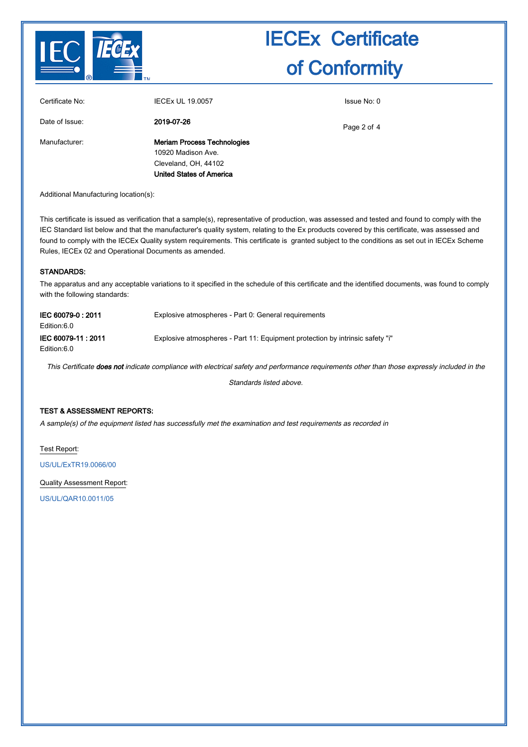

| Certificate No: | <b>IECEx UL 19.0057</b>                                                                                             | Issue No: 0 |
|-----------------|---------------------------------------------------------------------------------------------------------------------|-------------|
| Date of Issue:  | 2019-07-26                                                                                                          | Page 2 of 4 |
| Manufacturer:   | <b>Meriam Process Technologies</b><br>10920 Madison Ave.<br>Cleveland, OH, 44102<br><b>United States of America</b> |             |

Additional Manufacturing location(s):

This certificate is issued as verification that a sample(s), representative of production, was assessed and tested and found to comply with the IEC Standard list below and that the manufacturer's quality system, relating to the Ex products covered by this certificate, was assessed and found to comply with the IECEx Quality system requirements. This certificate is granted subject to the conditions as set out in IECEx Scheme Rules, IECEx 02 and Operational Documents as amended.

#### STANDARDS:

The apparatus and any acceptable variations to it specified in the schedule of this certificate and the identified documents, was found to comply with the following standards:

| IEC 60079-0:2011<br>Edition:6.0   | Explosive atmospheres - Part 0: General requirements                          |
|-----------------------------------|-------------------------------------------------------------------------------|
| IEC 60079-11: 2011<br>Edition:6.0 | Explosive atmospheres - Part 11: Equipment protection by intrinsic safety "i" |

This Certificate does not indicate compliance with electrical safety and performance requirements other than those expressly included in the

Standards listed above.

#### TEST & ASSESSMENT REPORTS:

A sample(s) of the equipment listed has successfully met the examination and test requirements as recorded in

Test Report:

[US/UL/ExTR19.0066/00](http://iecex.iec.ch/extr/US.UL.ExTR19.0066.00)

Quality Assessment Report:

[US/UL/QAR10.0011/05](http://iecex.iec.ch/qar/US.UL.QAR10.0011.05)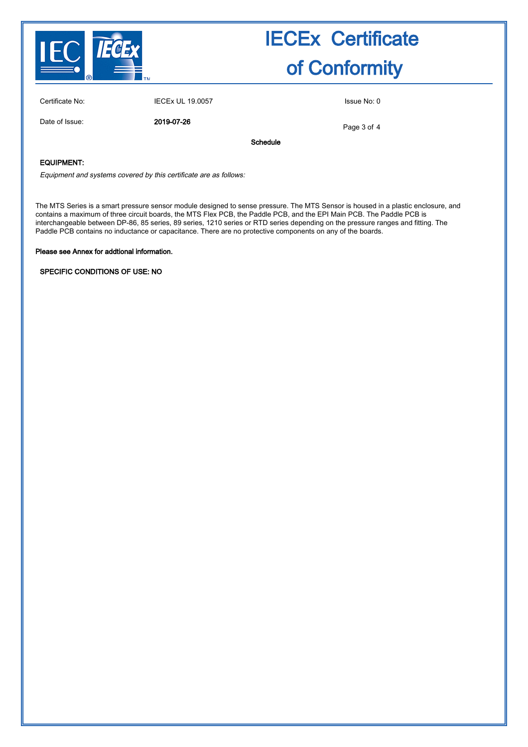

| Certificate No: |  |
|-----------------|--|
|                 |  |

IECEx UL 19.0057 Issue No: 0

Date of Issue: 2019-07-26

Page 3 of 4

Schedule

#### EQUIPMENT:

Equipment and systems covered by this certificate are as follows:

The MTS Series is a smart pressure sensor module designed to sense pressure. The MTS Sensor is housed in a plastic enclosure, and contains a maximum of three circuit boards, the MTS Flex PCB, the Paddle PCB, and the EPI Main PCB. The Paddle PCB is interchangeable between DP-86, 85 series, 89 series, 1210 series or RTD series depending on the pressure ranges and fitting. The Paddle PCB contains no inductance or capacitance. There are no protective components on any of the boards.

Please see Annex for addtional information.

SPECIFIC CONDITIONS OF USE: NO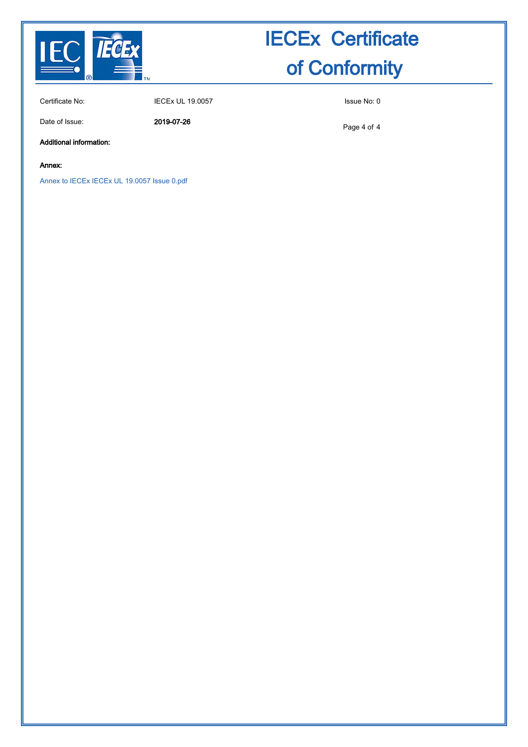

Certificate No: IECEx UL 19.0057 Issue No: 0

Date of Issue: 2019-07-26

Page 4 of 4

Additional information:

Annex:

[Annex to IECEx IECEx UL 19.0057 Issue 0.pdf](http://iecex.iec.ch/cert/IECExUL19.00570/$File/Annex to IECEx IECEx UL 19.0057 Issue 0.pdf)